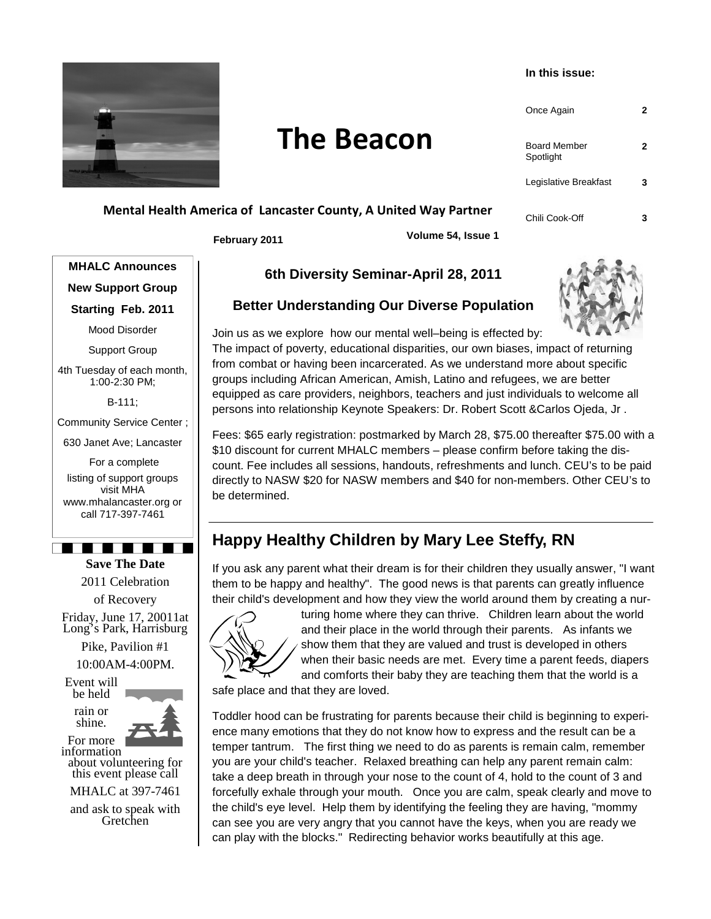

# **The Beacon**

#### **In this issue:**

| Once Again                       |   |
|----------------------------------|---|
| <b>Board Member</b><br>Spotlight | 2 |
| Legislative Breakfast            |   |
| Chili Cook-Off                   |   |

### **Mental Health America of Lancaster County, A United Way Partner**

**February 2011 Volume 54, Issue 1** 

**MHALC Announces New Support Group** 

**Starting Feb. 2011** 

Mood Disorder

Support Group

4th Tuesday of each month, 1:00-2:30 PM;

B-111;

Community Service Center ;

630 Janet Ave; Lancaster

 For a complete listing of support groups visit MHA www.mhalancaster.org or call 717-397-7461

<u> 1919 - Jacques Salva</u> **Save The Date** 

2011 Celebration

of Recovery Friday, June 17, 20011at Long's Park, Harrisburg

> Pike, Pavilion #1 10:00AM-4:00PM.

Event will be held

> rain or shine.



For more information

about volunteering for this event please call

MHALC at 397-7461

and ask to speak with Gretchen

### **6th Diversity Seminar-April 28, 2011**

### **Better Understanding Our Diverse Population**



Join us as we explore how our mental well–being is effected by: The impact of poverty, educational disparities, our own biases, impact of returning from combat or having been incarcerated. As we understand more about specific groups including African American, Amish, Latino and refugees, we are better equipped as care providers, neighbors, teachers and just individuals to welcome all persons into relationship Keynote Speakers: Dr. Robert Scott &Carlos Ojeda, Jr .

Fees: \$65 early registration: postmarked by March 28, \$75.00 thereafter \$75.00 with a \$10 discount for current MHALC members – please confirm before taking the discount. Fee includes all sessions, handouts, refreshments and lunch. CEU's to be paid directly to NASW \$20 for NASW members and \$40 for non-members. Other CEU's to be determined.

# **Happy Healthy Children by Mary Lee Steffy, RN**

If you ask any parent what their dream is for their children they usually answer, "I want them to be happy and healthy". The good news is that parents can greatly influence their child's development and how they view the world around them by creating a nur-



turing home where they can thrive. Children learn about the world and their place in the world through their parents. As infants we show them that they are valued and trust is developed in others when their basic needs are met. Every time a parent feeds, diapers and comforts their baby they are teaching them that the world is a

safe place and that they are loved.

Toddler hood can be frustrating for parents because their child is beginning to experience many emotions that they do not know how to express and the result can be a temper tantrum. The first thing we need to do as parents is remain calm, remember you are your child's teacher. Relaxed breathing can help any parent remain calm: take a deep breath in through your nose to the count of 4, hold to the count of 3 and forcefully exhale through your mouth. Once you are calm, speak clearly and move to the child's eye level. Help them by identifying the feeling they are having, "mommy can see you are very angry that you cannot have the keys, when you are ready we can play with the blocks." Redirecting behavior works beautifully at this age.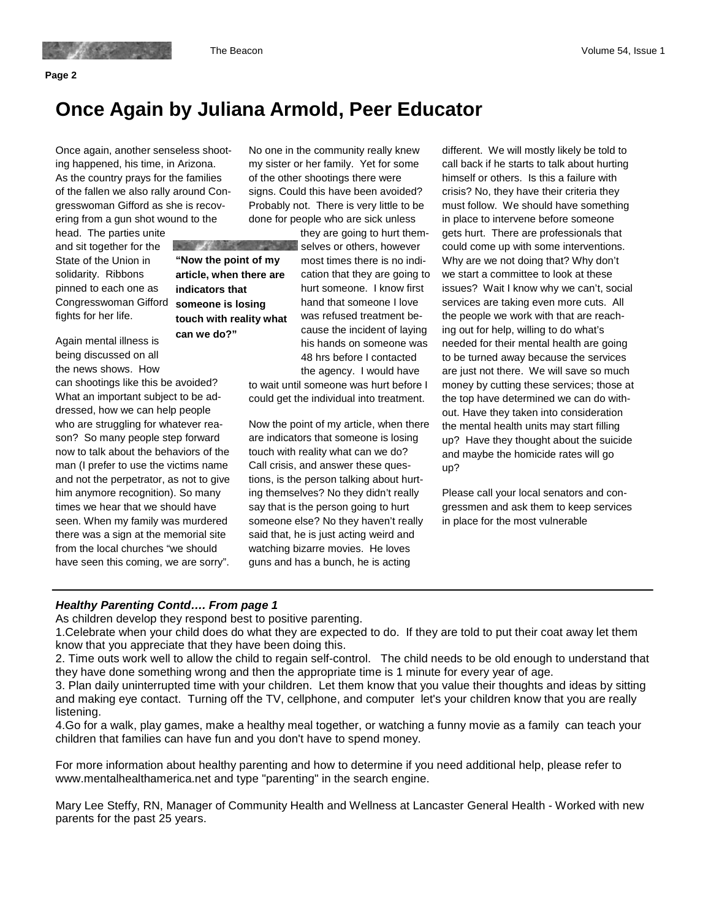# **Once Again by Juliana Armold, Peer Educator**

Once again, another senseless shooting happened, his time, in Arizona. As the country prays for the families of the fallen we also rally around Congresswoman Gifford as she is recovering from a gun shot wound to the

 $\mathcal{L} = \mathcal{L}$ 

head. The parties unite and sit together for the State of the Union in solidarity. Ribbons pinned to each one as Congresswoman Gifford fights for her life.

Again mental illness is being discussed on all the news shows. How

can shootings like this be avoided? What an important subject to be addressed, how we can help people who are struggling for whatever reason? So many people step forward now to talk about the behaviors of the man (I prefer to use the victims name and not the perpetrator, as not to give him anymore recognition). So many times we hear that we should have seen. When my family was murdered there was a sign at the memorial site from the local churches "we should have seen this coming, we are sorry".

No one in the community really knew my sister or her family. Yet for some of the other shootings there were signs. Could this have been avoided? Probably not. There is very little to be done for people who are sick unless

**AND ASSESS "Now the point of my article, when there are indicators that someone is losing touch with reality what can we do?"** 

they are going to hurt themselves or others, however most times there is no indication that they are going to hurt someone. I know first hand that someone I love was refused treatment because the incident of laying his hands on someone was 48 hrs before I contacted the agency. I would have

to wait until someone was hurt before I could get the individual into treatment.

Now the point of my article, when there are indicators that someone is losing touch with reality what can we do? Call crisis, and answer these questions, is the person talking about hurting themselves? No they didn't really say that is the person going to hurt someone else? No they haven't really said that, he is just acting weird and watching bizarre movies. He loves guns and has a bunch, he is acting

different. We will mostly likely be told to call back if he starts to talk about hurting himself or others. Is this a failure with crisis? No, they have their criteria they must follow. We should have something in place to intervene before someone gets hurt. There are professionals that could come up with some interventions. Why are we not doing that? Why don't we start a committee to look at these issues? Wait I know why we can't, social services are taking even more cuts. All the people we work with that are reaching out for help, willing to do what's needed for their mental health are going to be turned away because the services are just not there. We will save so much money by cutting these services; those at the top have determined we can do without. Have they taken into consideration the mental health units may start filling up? Have they thought about the suicide and maybe the homicide rates will go up?

Please call your local senators and congressmen and ask them to keep services in place for the most vulnerable

#### **Healthy Parenting Contd…. From page 1**

As children develop they respond best to positive parenting.

1.Celebrate when your child does do what they are expected to do. If they are told to put their coat away let them know that you appreciate that they have been doing this.

2. Time outs work well to allow the child to regain self-control. The child needs to be old enough to understand that they have done something wrong and then the appropriate time is 1 minute for every year of age.

3. Plan daily uninterrupted time with your children. Let them know that you value their thoughts and ideas by sitting and making eye contact. Turning off the TV, cellphone, and computer let's your children know that you are really listening.

4.Go for a walk, play games, make a healthy meal together, or watching a funny movie as a family can teach your children that families can have fun and you don't have to spend money.

For more information about healthy parenting and how to determine if you need additional help, please refer to www.mentalhealthamerica.net and type "parenting" in the search engine.

Mary Lee Steffy, RN, Manager of Community Health and Wellness at Lancaster General Health - Worked with new parents for the past 25 years.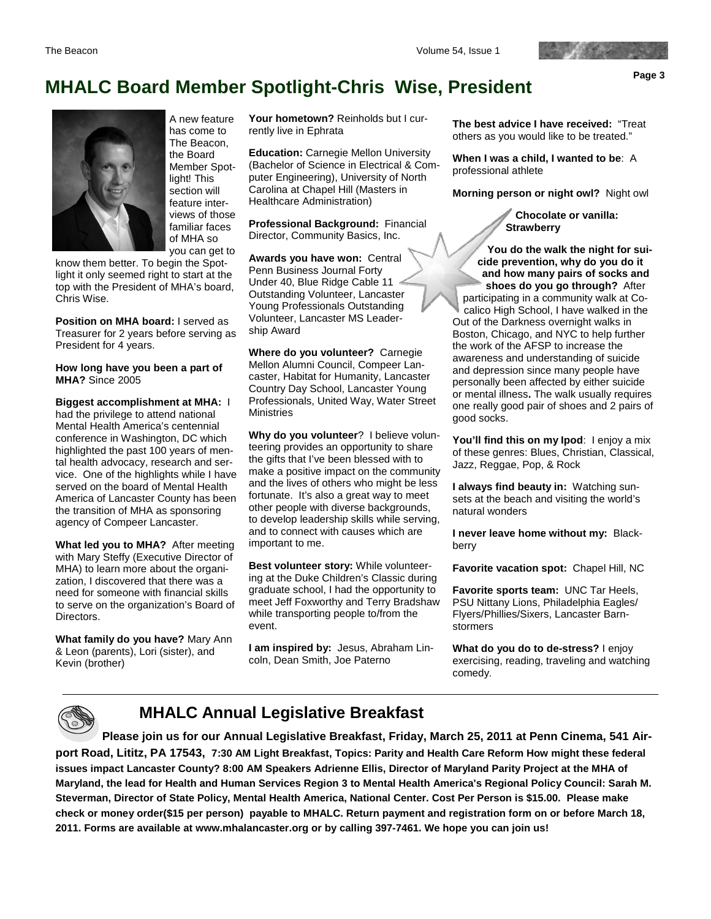**Page 3** 

# **MHALC Board Member Spotlight-Chris Wise, President**



A new feature has come to The Beacon, the Board Member Spotlight! This section will feature interviews of those familiar faces of MHA so you can get to

know them better. To begin the Spotlight it only seemed right to start at the top with the President of MHA's board, Chris Wise.

**Position on MHA board:** I served as Treasurer for 2 years before serving as President for 4 years.

#### **How long have you been a part of MHA?** Since 2005

**Biggest accomplishment at MHA:** I had the privilege to attend national Mental Health America's centennial conference in Washington, DC which highlighted the past 100 years of mental health advocacy, research and service. One of the highlights while I have served on the board of Mental Health America of Lancaster County has been the transition of MHA as sponsoring agency of Compeer Lancaster.

**What led you to MHA?** After meeting with Mary Steffy (Executive Director of MHA) to learn more about the organization, I discovered that there was a need for someone with financial skills to serve on the organization's Board of Directors.

**What family do you have?** Mary Ann & Leon (parents), Lori (sister), and Kevin (brother)

**Your hometown?** Reinholds but I currently live in Ephrata

**Education:** Carnegie Mellon University (Bachelor of Science in Electrical & Computer Engineering), University of North Carolina at Chapel Hill (Masters in Healthcare Administration)

**Professional Background:** Financial Director, Community Basics, Inc.

**Awards you have won:** Central Penn Business Journal Forty Under 40, Blue Ridge Cable 11 Outstanding Volunteer, Lancaster Young Professionals Outstanding Volunteer, Lancaster MS Leadership Award

**Where do you volunteer?** Carnegie Mellon Alumni Council, Compeer Lancaster, Habitat for Humanity, Lancaster Country Day School, Lancaster Young Professionals, United Way, Water Street **Ministries** 

**Why do you volunteer**? I believe volunteering provides an opportunity to share the gifts that I've been blessed with to make a positive impact on the community and the lives of others who might be less fortunate. It's also a great way to meet other people with diverse backgrounds, to develop leadership skills while serving, and to connect with causes which are important to me.

**Best volunteer story:** While volunteering at the Duke Children's Classic during graduate school, I had the opportunity to meet Jeff Foxworthy and Terry Bradshaw while transporting people to/from the event.

**I am inspired by:** Jesus, Abraham Lincoln, Dean Smith, Joe Paterno

**The best advice I have received:** "Treat others as you would like to be treated."

**When I was a child, I wanted to be**: A professional athlete

**Morning person or night owl?** Night owl

**Chocolate or vanilla: Strawberry**

**You do the walk the night for suicide prevention, why do you do it and how many pairs of socks and shoes do you go through?** After participating in a community walk at Cocalico High School, I have walked in the Out of the Darkness overnight walks in Boston, Chicago, and NYC to help further the work of the AFSP to increase the awareness and understanding of suicide and depression since many people have personally been affected by either suicide or mental illness**.** The walk usually requires one really good pair of shoes and 2 pairs of good socks.

You'll find this on my lpod: I enjoy a mix of these genres: Blues, Christian, Classical, Jazz, Reggae, Pop, & Rock

**I always find beauty in:** Watching sunsets at the beach and visiting the world's natural wonders

**I never leave home without my:** Blackberry

**Favorite vacation spot:** Chapel Hill, NC

**Favorite sports team:** UNC Tar Heels, PSU Nittany Lions, Philadelphia Eagles/ Flyers/Phillies/Sixers, Lancaster Barnstormers

**What do you do to de-stress?** I enjoy exercising, reading, traveling and watching comedy.



### **MHALC Annual Legislative Breakfast**

**Please join us for our Annual Legislative Breakfast, Friday, March 25, 2011 at Penn Cinema, 541 Airport Road, Lititz, PA 17543, 7:30 AM Light Breakfast, Topics: Parity and Health Care Reform How might these federal issues impact Lancaster County? 8:00 AM Speakers Adrienne Ellis, Director of Maryland Parity Project at the MHA of Maryland, the lead for Health and Human Services Region 3 to Mental Health America's Regional Policy Council: Sarah M. Steverman, Director of State Policy, Mental Health America, National Center. Cost Per Person is \$15.00. Please make check or money order(\$15 per person) payable to MHALC. Return payment and registration form on or before March 18, 2011. Forms are available at www.mhalancaster.org or by calling 397-7461. We hope you can join us!**